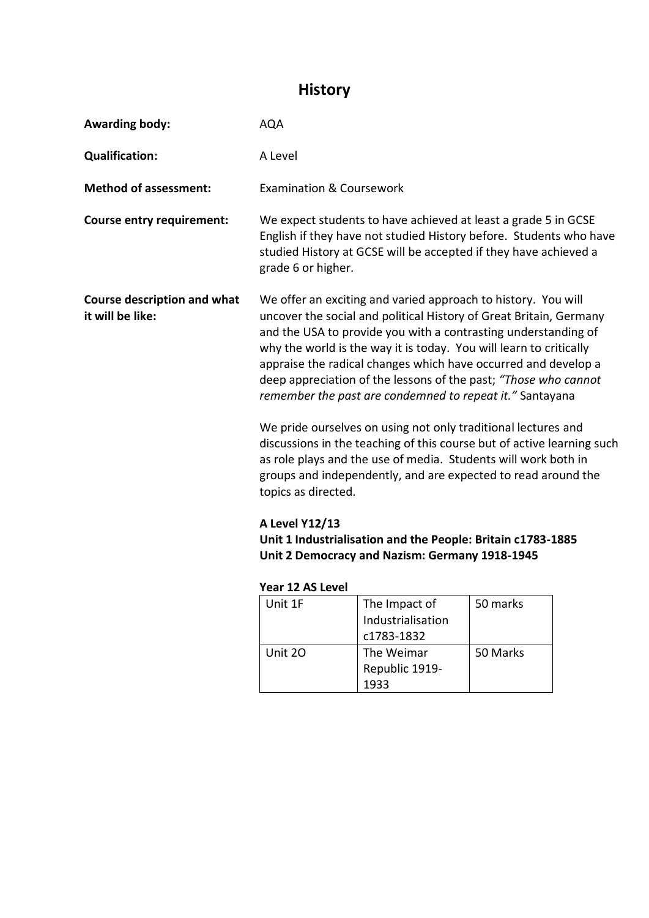## **History**

| <b>Awarding body:</b>                                  | <b>AQA</b>                                                                                                                                                                                                                                                                                                                                                                                                                                                                                                                                                                                                                                                                                                                                                                                                                                                                                                           |                                      |          |  |  |
|--------------------------------------------------------|----------------------------------------------------------------------------------------------------------------------------------------------------------------------------------------------------------------------------------------------------------------------------------------------------------------------------------------------------------------------------------------------------------------------------------------------------------------------------------------------------------------------------------------------------------------------------------------------------------------------------------------------------------------------------------------------------------------------------------------------------------------------------------------------------------------------------------------------------------------------------------------------------------------------|--------------------------------------|----------|--|--|
| <b>Qualification:</b>                                  | A Level                                                                                                                                                                                                                                                                                                                                                                                                                                                                                                                                                                                                                                                                                                                                                                                                                                                                                                              |                                      |          |  |  |
| <b>Method of assessment:</b>                           | <b>Examination &amp; Coursework</b>                                                                                                                                                                                                                                                                                                                                                                                                                                                                                                                                                                                                                                                                                                                                                                                                                                                                                  |                                      |          |  |  |
| <b>Course entry requirement:</b>                       | We expect students to have achieved at least a grade 5 in GCSE<br>English if they have not studied History before. Students who have<br>studied History at GCSE will be accepted if they have achieved a<br>grade 6 or higher.                                                                                                                                                                                                                                                                                                                                                                                                                                                                                                                                                                                                                                                                                       |                                      |          |  |  |
| <b>Course description and what</b><br>it will be like: | We offer an exciting and varied approach to history. You will<br>uncover the social and political History of Great Britain, Germany<br>and the USA to provide you with a contrasting understanding of<br>why the world is the way it is today. You will learn to critically<br>appraise the radical changes which have occurred and develop a<br>deep appreciation of the lessons of the past; "Those who cannot<br>remember the past are condemned to repeat it." Santayana<br>We pride ourselves on using not only traditional lectures and<br>discussions in the teaching of this course but of active learning such<br>as role plays and the use of media. Students will work both in<br>groups and independently, and are expected to read around the<br>topics as directed.<br>A Level Y12/13<br>Unit 1 Industrialisation and the People: Britain c1783-1885<br>Unit 2 Democracy and Nazism: Germany 1918-1945 |                                      |          |  |  |
|                                                        | Year 12 AS Level<br>Unit 1F                                                                                                                                                                                                                                                                                                                                                                                                                                                                                                                                                                                                                                                                                                                                                                                                                                                                                          | The Impact of                        | 50 marks |  |  |
|                                                        |                                                                                                                                                                                                                                                                                                                                                                                                                                                                                                                                                                                                                                                                                                                                                                                                                                                                                                                      | Industrialisation<br>c1783-1832      |          |  |  |
|                                                        | Unit 20                                                                                                                                                                                                                                                                                                                                                                                                                                                                                                                                                                                                                                                                                                                                                                                                                                                                                                              | The Weimar<br>Republic 1919-<br>1933 | 50 Marks |  |  |